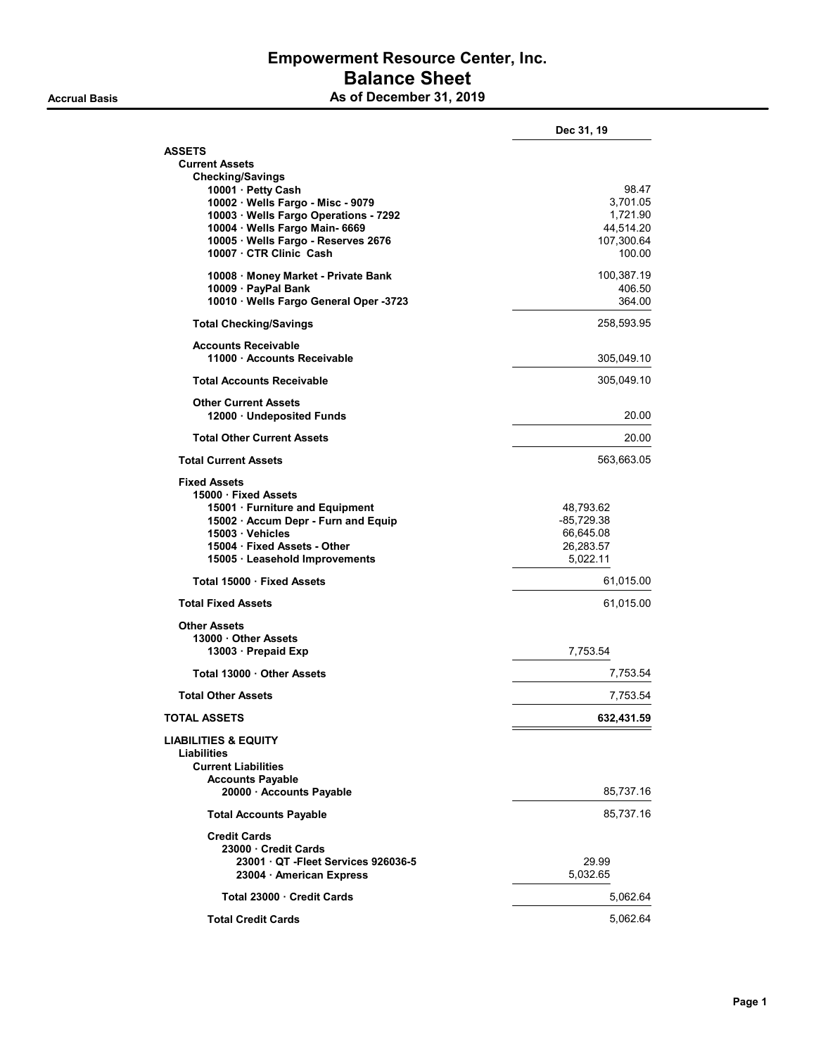### Empowerment Resource Center, Inc. Balance Sheet As of December 31, 2019

|                                                       | Dec 31, 19                |
|-------------------------------------------------------|---------------------------|
| <b>ASSETS</b>                                         |                           |
| <b>Current Assets</b>                                 |                           |
| <b>Checking/Savings</b><br>10001 · Petty Cash         | 98.47                     |
| 10002 · Wells Fargo - Misc - 9079                     | 3,701.05                  |
| 10003 · Wells Fargo Operations - 7292                 | 1,721.90                  |
| 10004 · Wells Fargo Main- 6669                        | 44,514.20                 |
| 10005 · Wells Fargo - Reserves 2676                   | 107,300.64                |
| 10007 · CTR Clinic Cash                               | 100.00                    |
| 10008 · Money Market - Private Bank                   | 100,387.19                |
| 10009 · PayPal Bank                                   | 406.50                    |
| 10010 · Wells Fargo General Oper -3723                | 364.00                    |
| <b>Total Checking/Savings</b>                         | 258,593.95                |
| <b>Accounts Receivable</b>                            |                           |
| 11000 Accounts Receivable                             | 305,049.10                |
| <b>Total Accounts Receivable</b>                      | 305,049.10                |
| <b>Other Current Assets</b>                           |                           |
| 12000 · Undeposited Funds                             | 20.00                     |
| <b>Total Other Current Assets</b>                     | 20.00                     |
| <b>Total Current Assets</b>                           | 563,663.05                |
| <b>Fixed Assets</b>                                   |                           |
| 15000 · Fixed Assets                                  |                           |
| 15001 · Furniture and Equipment                       | 48,793.62                 |
| 15002 · Accum Depr - Furn and Equip<br>15003 Vehicles | $-85,729.38$<br>66,645.08 |
| 15004 Fixed Assets - Other                            | 26,283.57                 |
| 15005 · Leasehold Improvements                        | 5,022.11                  |
| Total 15000 · Fixed Assets                            | 61,015.00                 |
| <b>Total Fixed Assets</b>                             | 61,015.00                 |
|                                                       |                           |
| <b>Other Assets</b>                                   |                           |
| 13000 Other Assets<br>13003 Prepaid Exp               | 7,753.54                  |
|                                                       |                           |
| Total 13000 Other Assets                              | 7,753.54                  |
| <b>Total Other Assets</b>                             | 7,753.54                  |
| <b>TOTAL ASSETS</b>                                   | 632,431.59                |
| <b>LIABILITIES &amp; EQUITY</b>                       |                           |
| Liabilities<br><b>Current Liabilities</b>             |                           |
| <b>Accounts Payable</b>                               |                           |
| 20000 · Accounts Payable                              | 85,737.16                 |
| <b>Total Accounts Payable</b>                         | 85,737.16                 |
| <b>Credit Cards</b>                                   |                           |
| 23000 Credit Cards                                    |                           |
| 23001 QT - Fleet Services 926036-5                    | 29.99                     |
| 23004 · American Express                              | 5,032.65                  |
| Total 23000 Credit Cards                              | 5,062.64                  |
|                                                       | 5,062.64                  |
| <b>Total Credit Cards</b>                             |                           |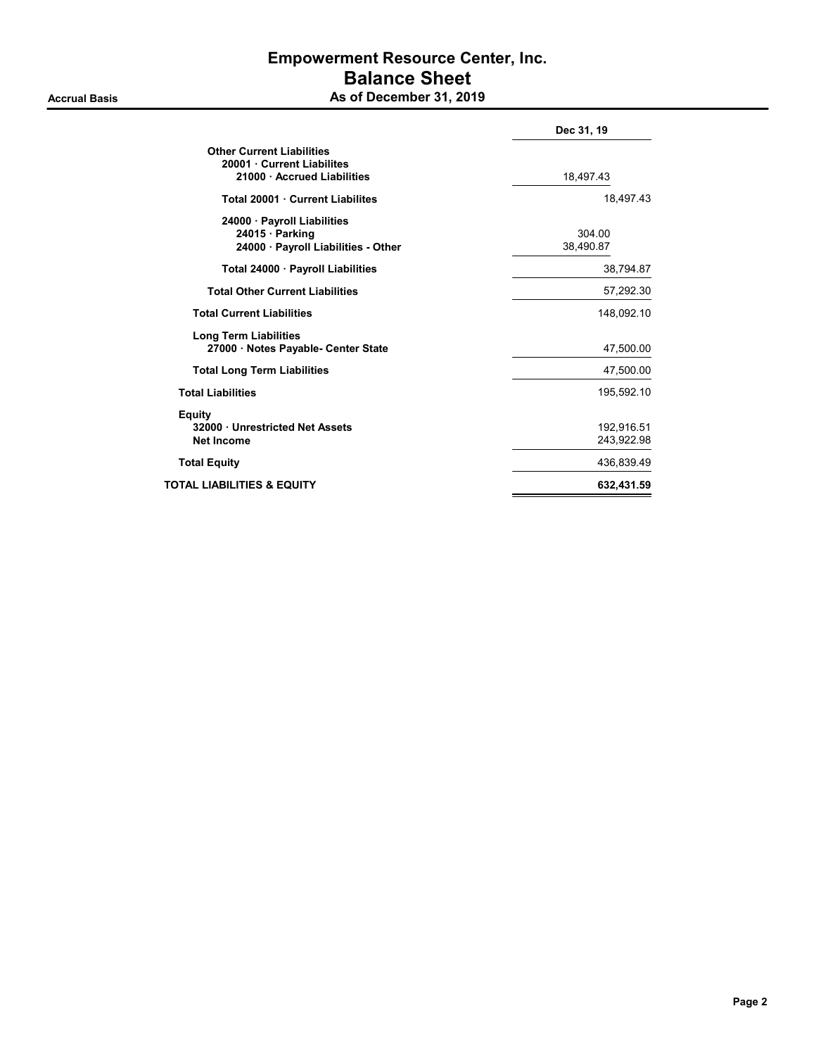#### **Accrual Basis**

# Empowerment Resource Center, Inc. Balance Sheet

| As of December 31, 2019 |  |
|-------------------------|--|
|-------------------------|--|

|                                                                                           | Dec 31, 19               |  |
|-------------------------------------------------------------------------------------------|--------------------------|--|
| <b>Other Current Liabilities</b><br>20001 Current Liabilites<br>21000 Accrued Liabilities | 18,497.43                |  |
| Total 20001 Current Liabilites                                                            | 18,497.43                |  |
| 24000 · Payroll Liabilities<br>24015 Parking<br>24000 Payroll Liabilities - Other         | 304.00<br>38,490.87      |  |
| Total 24000 · Payroll Liabilities                                                         | 38,794.87                |  |
| <b>Total Other Current Liabilities</b>                                                    | 57,292.30                |  |
| <b>Total Current Liabilities</b>                                                          | 148.092.10               |  |
| <b>Long Term Liabilities</b><br>27000 · Notes Payable- Center State                       | 47,500.00                |  |
| <b>Total Long Term Liabilities</b>                                                        | 47,500.00                |  |
| <b>Total Liabilities</b>                                                                  | 195,592.10               |  |
| Equity<br>32000 · Unrestricted Net Assets<br><b>Net Income</b>                            | 192,916.51<br>243,922.98 |  |
| <b>Total Equity</b>                                                                       | 436,839.49               |  |
| TOTAL LIABILITIES & EQUITY                                                                | 632,431.59               |  |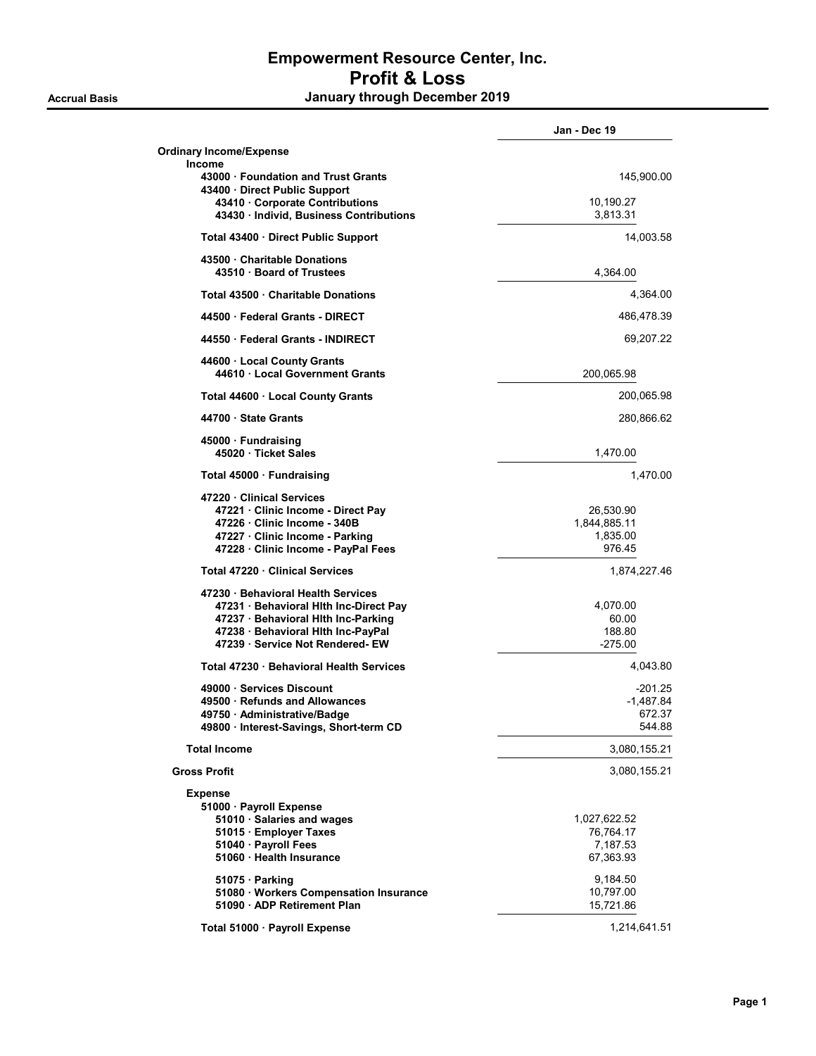|                                                                                                                                                                                          | Jan - Dec 19                                       |
|------------------------------------------------------------------------------------------------------------------------------------------------------------------------------------------|----------------------------------------------------|
| <b>Ordinary Income/Expense</b><br><b>Income</b>                                                                                                                                          |                                                    |
| 43000 Foundation and Trust Grants<br>43400 · Direct Public Support                                                                                                                       | 145,900.00                                         |
| 43410 Corporate Contributions<br>43430 · Individ, Business Contributions                                                                                                                 | 10,190.27<br>3,813.31                              |
| Total 43400 Direct Public Support                                                                                                                                                        | 14,003.58                                          |
| 43500 Charitable Donations<br>43510 · Board of Trustees                                                                                                                                  | 4,364.00                                           |
| Total 43500 Charitable Donations                                                                                                                                                         | 4,364.00                                           |
| 44500 · Federal Grants - DIRECT                                                                                                                                                          | 486,478.39                                         |
| 44550 Federal Grants - INDIRECT                                                                                                                                                          | 69,207.22                                          |
| 44600 · Local County Grants<br>44610 Local Government Grants                                                                                                                             | 200,065.98                                         |
| Total 44600 · Local County Grants                                                                                                                                                        | 200,065.98                                         |
| 44700 · State Grants                                                                                                                                                                     | 280,866.62                                         |
| 45000 · Fundraising<br>45020 · Ticket Sales                                                                                                                                              | 1,470.00                                           |
| Total 45000 · Fundraising                                                                                                                                                                | 1.470.00                                           |
| 47220 Clinical Services<br>47221 Clinic Income - Direct Pay<br>47226 Clinic Income - 340B<br>47227 · Clinic Income - Parking<br>47228 Clinic Income - PayPal Fees                        | 26,530.90<br>1,844,885.11<br>1,835.00<br>976.45    |
| Total 47220 Clinical Services                                                                                                                                                            | 1,874,227.46                                       |
| 47230 Behavioral Health Services<br>47231 · Behavioral Hith Inc-Direct Pay<br>47237 · Behavioral Hith Inc-Parking<br>47238 · Behavioral Hith Inc-PayPal<br>47239 Service Not Rendered-EW | 4,070.00<br>60.00<br>188.80<br>$-275.00$           |
| Total 47230 · Behavioral Health Services                                                                                                                                                 | 4,043.80                                           |
| 49000 Services Discount<br>49500 · Refunds and Allowances<br>49750 · Administrative/Badge<br>49800 · Interest-Savings, Short-term CD                                                     | $-201.25$<br>-1,487.84<br>672.37<br>544.88         |
| <b>Total Income</b>                                                                                                                                                                      | 3,080,155.21                                       |
| <b>Gross Profit</b>                                                                                                                                                                      | 3,080,155.21                                       |
| <b>Expense</b><br>51000 · Payroll Expense<br>51010 · Salaries and wages<br>51015 · Employer Taxes<br>51040 · Payroll Fees<br>51060 · Health Insurance                                    | 1,027,622.52<br>76,764.17<br>7,187.53<br>67,363.93 |
| 51075 Parking<br>51080 · Workers Compensation Insurance<br>51090 · ADP Retirement Plan                                                                                                   | 9,184.50<br>10,797.00<br>15,721.86                 |
| Total 51000 · Payroll Expense                                                                                                                                                            | 1,214,641.51                                       |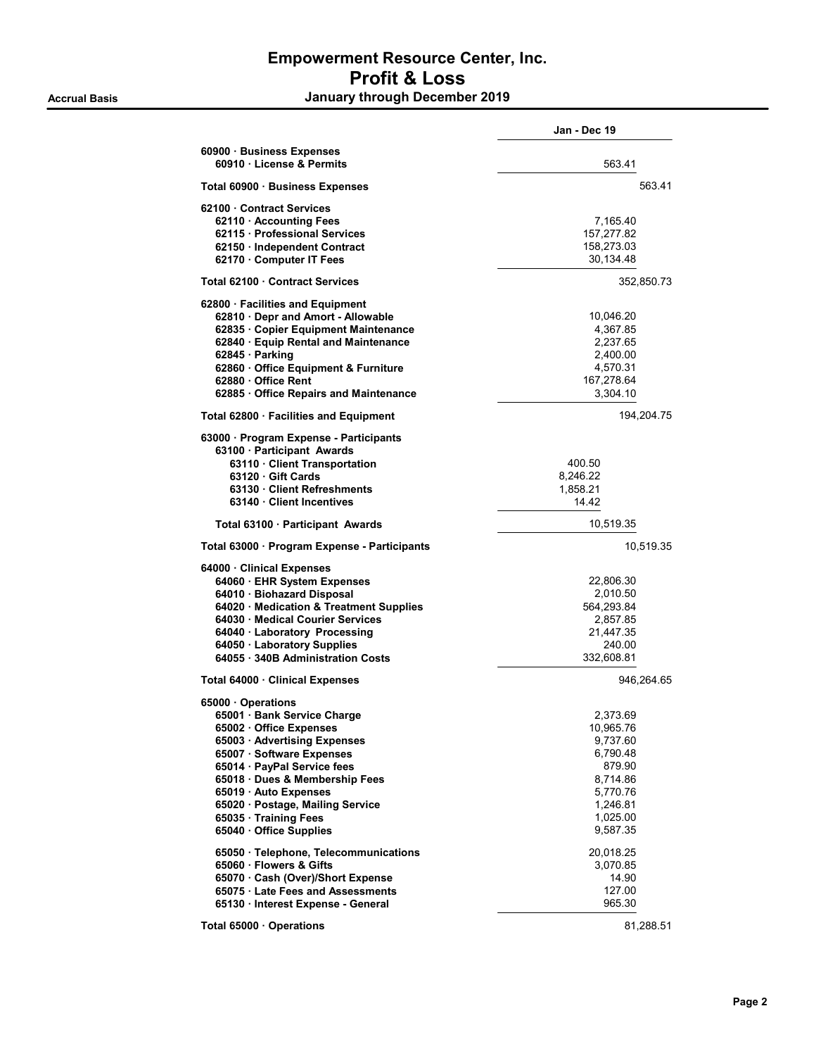|                                                                                                                                                                                                                                                                                                                                                                                                                            | Jan - Dec 19                                                                                                                                          |  |
|----------------------------------------------------------------------------------------------------------------------------------------------------------------------------------------------------------------------------------------------------------------------------------------------------------------------------------------------------------------------------------------------------------------------------|-------------------------------------------------------------------------------------------------------------------------------------------------------|--|
| 60900 · Business Expenses<br>60910 · License & Permits                                                                                                                                                                                                                                                                                                                                                                     | 563.41                                                                                                                                                |  |
| Total 60900 · Business Expenses                                                                                                                                                                                                                                                                                                                                                                                            | 563.41                                                                                                                                                |  |
| 62100 Contract Services<br>62110 Accounting Fees<br>62115 · Professional Services<br>62150 · Independent Contract<br>62170 · Computer IT Fees                                                                                                                                                                                                                                                                              | 7,165.40<br>157,277.82<br>158,273.03<br>30,134.48                                                                                                     |  |
| Total 62100 · Contract Services                                                                                                                                                                                                                                                                                                                                                                                            | 352,850.73                                                                                                                                            |  |
| 62800 · Facilities and Equipment<br>62810 Depr and Amort - Allowable<br>62835 · Copier Equipment Maintenance<br>62840 · Equip Rental and Maintenance<br>62845 · Parking<br>62860 Office Equipment & Furniture<br>62880 Office Rent<br>62885 Office Repairs and Maintenance                                                                                                                                                 | 10,046.20<br>4,367.85<br>2,237.65<br>2,400.00<br>4,570.31<br>167,278.64<br>3,304.10                                                                   |  |
| Total 62800 · Facilities and Equipment                                                                                                                                                                                                                                                                                                                                                                                     | 194,204.75                                                                                                                                            |  |
| 63000 · Program Expense - Participants<br>63100 Participant Awards<br>63110 · Client Transportation<br>63120 Gift Cards<br>63130 Client Refreshments<br>63140 Client Incentives                                                                                                                                                                                                                                            | 400.50<br>8.246.22<br>1,858.21<br>14.42                                                                                                               |  |
| Total 63100 · Participant Awards                                                                                                                                                                                                                                                                                                                                                                                           | 10,519.35                                                                                                                                             |  |
| Total 63000 · Program Expense - Participants                                                                                                                                                                                                                                                                                                                                                                               | 10,519.35                                                                                                                                             |  |
| 64000 · Clinical Expenses<br>64060 · EHR System Expenses<br>64010 · Biohazard Disposal<br>64020 Medication & Treatment Supplies<br>64030 Medical Courier Services<br>64040 · Laboratory Processing<br>64050 · Laboratory Supplies<br>64055 · 340B Administration Costs                                                                                                                                                     | 22,806.30<br>2,010.50<br>564,293.84<br>2,857.85<br>21,447.35<br>240.00<br>332,608.81                                                                  |  |
| Total 64000 · Clinical Expenses                                                                                                                                                                                                                                                                                                                                                                                            | 946,264.65                                                                                                                                            |  |
| 65000 Operations<br>65001 · Bank Service Charge<br>65002 · Office Expenses<br>65003 · Advertising Expenses<br>65007 · Software Expenses<br>65014 · PayPal Service fees<br>65018 Dues & Membership Fees<br>65019 · Auto Expenses<br>65020 Postage, Mailing Service<br>65035 · Training Fees<br>65040 Office Supplies<br>65050 · Telephone, Telecommunications<br>65060 Flowers & Gifts<br>65070 · Cash (Over)/Short Expense | 2,373.69<br>10,965.76<br>9,737.60<br>6,790.48<br>879.90<br>8,714.86<br>5,770.76<br>1,246.81<br>1,025.00<br>9,587.35<br>20,018.25<br>3,070.85<br>14.90 |  |
| 65075 Late Fees and Assessments<br>65130 · Interest Expense - General                                                                                                                                                                                                                                                                                                                                                      | 127.00<br>965.30                                                                                                                                      |  |
| Total 65000 Operations                                                                                                                                                                                                                                                                                                                                                                                                     | 81,288.51                                                                                                                                             |  |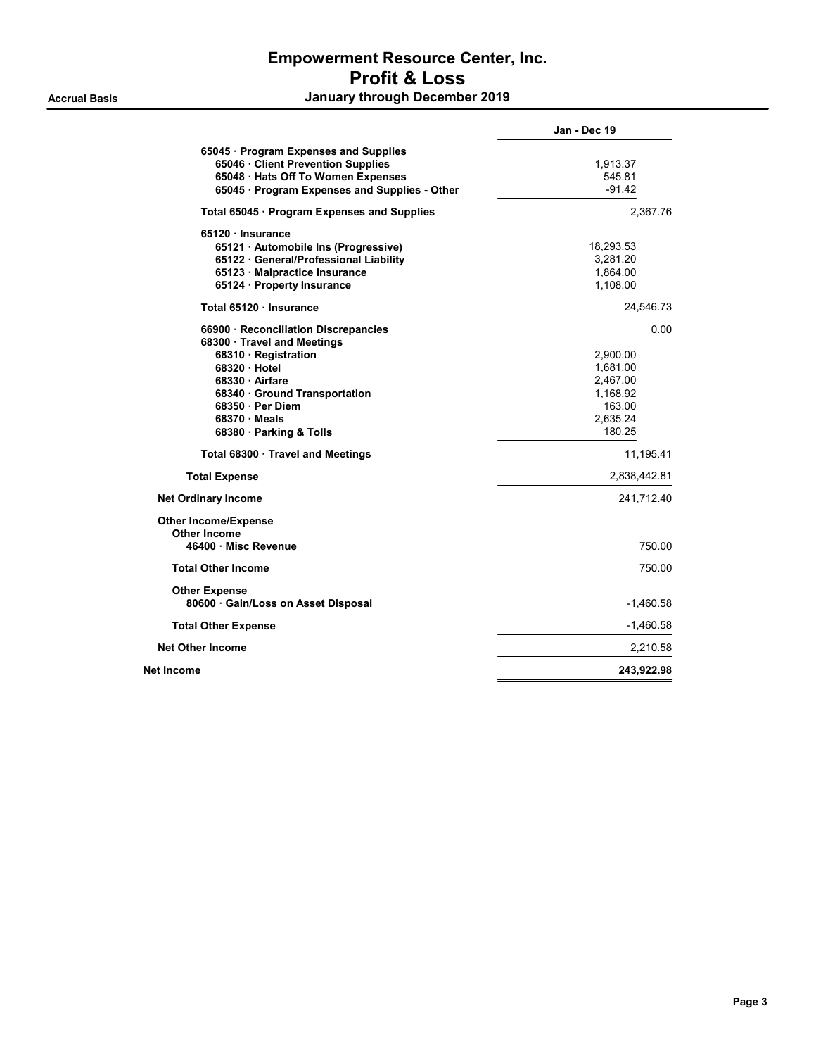|                                                                                                                                                                                                                                                                                                                                                | Jan - Dec 19                                                                                                                    |
|------------------------------------------------------------------------------------------------------------------------------------------------------------------------------------------------------------------------------------------------------------------------------------------------------------------------------------------------|---------------------------------------------------------------------------------------------------------------------------------|
| 65045 · Program Expenses and Supplies<br>65046 · Client Prevention Supplies<br>65048 · Hats Off To Women Expenses<br>65045 · Program Expenses and Supplies - Other                                                                                                                                                                             | 1,913.37<br>545.81<br>$-91.42$                                                                                                  |
| Total 65045 · Program Expenses and Supplies                                                                                                                                                                                                                                                                                                    | 2,367.76                                                                                                                        |
| 65120 · Insurance<br>65121 · Automobile Ins (Progressive)<br>65122 · General/Professional Liability<br>65123 Malpractice Insurance<br>65124 · Property Insurance                                                                                                                                                                               | 18,293.53<br>3,281.20<br>1,864.00<br>1,108.00                                                                                   |
| Total 65120 · Insurance                                                                                                                                                                                                                                                                                                                        | 24,546.73                                                                                                                       |
| 66900 · Reconciliation Discrepancies<br>68300 · Travel and Meetings<br>68310 · Registration<br>68320 Hotel<br>68330 Airfare<br>68340 Ground Transportation<br>68350 · Per Diem<br>68370 Meals<br>68380 Parking & Tolls<br>Total 68300 Travel and Meetings<br><b>Total Expense</b><br><b>Net Ordinary Income</b><br><b>Other Income/Expense</b> | 0.00<br>2,900.00<br>1,681.00<br>2.467.00<br>1,168.92<br>163.00<br>2,635.24<br>180.25<br>11,195.41<br>2,838,442.81<br>241,712.40 |
| <b>Other Income</b><br>46400 · Misc Revenue                                                                                                                                                                                                                                                                                                    | 750.00                                                                                                                          |
| <b>Total Other Income</b>                                                                                                                                                                                                                                                                                                                      | 750.00                                                                                                                          |
| <b>Other Expense</b><br>80600 · Gain/Loss on Asset Disposal                                                                                                                                                                                                                                                                                    | $-1,460.58$                                                                                                                     |
| <b>Total Other Expense</b>                                                                                                                                                                                                                                                                                                                     | $-1,460.58$                                                                                                                     |
| <b>Net Other Income</b>                                                                                                                                                                                                                                                                                                                        | 2.210.58                                                                                                                        |
| Net Income                                                                                                                                                                                                                                                                                                                                     | 243,922.98                                                                                                                      |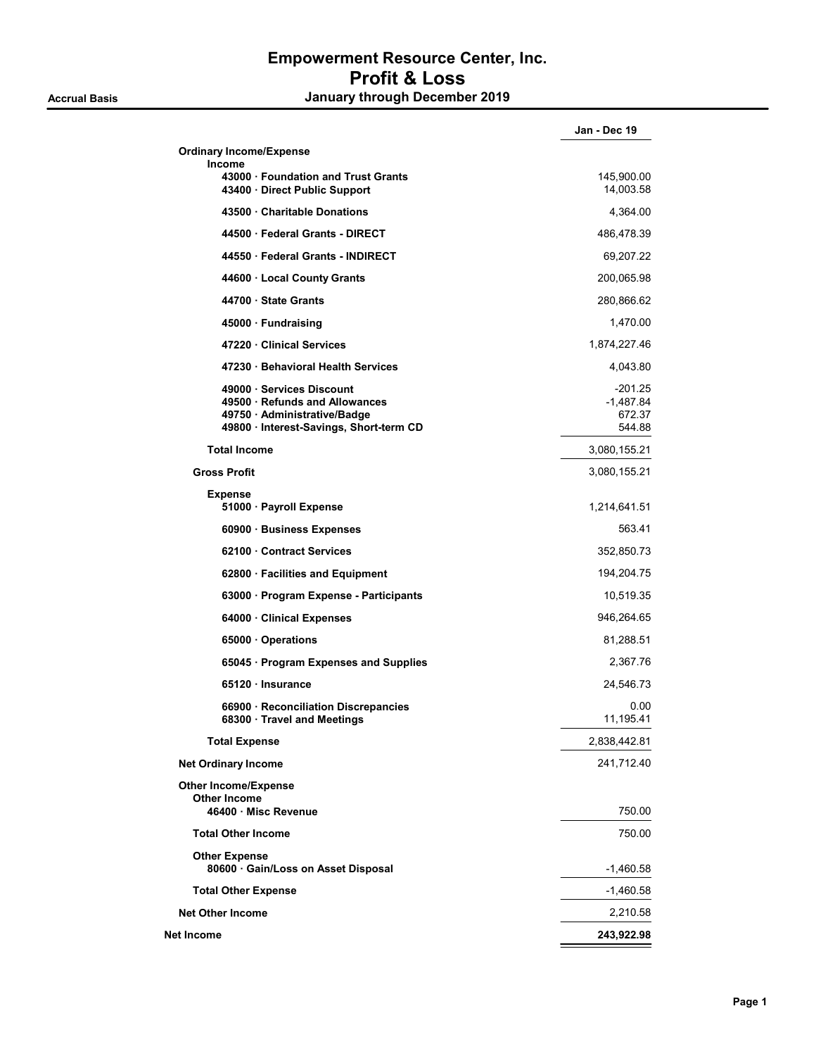|                                                                                                                                    | Jan - Dec 19                               |
|------------------------------------------------------------------------------------------------------------------------------------|--------------------------------------------|
| <b>Ordinary Income/Expense</b>                                                                                                     |                                            |
| <b>Income</b><br>43000 Foundation and Trust Grants<br>43400 · Direct Public Support                                                | 145,900.00<br>14,003.58                    |
| 43500 Charitable Donations                                                                                                         | 4,364.00                                   |
| 44500 Federal Grants - DIRECT                                                                                                      | 486,478.39                                 |
| 44550 · Federal Grants - INDIRECT                                                                                                  | 69,207.22                                  |
| 44600 · Local County Grants                                                                                                        | 200,065.98                                 |
| 44700 · State Grants                                                                                                               | 280,866.62                                 |
| 45000 · Fundraising                                                                                                                | 1,470.00                                   |
| 47220 Clinical Services                                                                                                            | 1,874,227.46                               |
| 47230 Behavioral Health Services                                                                                                   | 4,043.80                                   |
| 49000 Services Discount<br>49500 Refunds and Allowances<br>49750 · Administrative/Badge<br>49800 · Interest-Savings, Short-term CD | $-201.25$<br>-1,487.84<br>672.37<br>544.88 |
| <b>Total Income</b>                                                                                                                | 3,080,155.21                               |
| <b>Gross Profit</b>                                                                                                                | 3,080,155.21                               |
| <b>Expense</b><br>51000 · Payroll Expense                                                                                          | 1,214,641.51                               |
| 60900 · Business Expenses                                                                                                          | 563.41                                     |
| 62100 Contract Services                                                                                                            | 352,850.73                                 |
| 62800 · Facilities and Equipment                                                                                                   | 194,204.75                                 |
| 63000 · Program Expense - Participants                                                                                             | 10,519.35                                  |
| 64000 Clinical Expenses                                                                                                            | 946,264.65                                 |
| 65000 · Operations                                                                                                                 | 81,288.51                                  |
| 65045 · Program Expenses and Supplies                                                                                              | 2,367.76                                   |
| 65120 Insurance                                                                                                                    | 24,546.73                                  |
| 66900 · Reconciliation Discrepancies<br>68300 · Travel and Meetings                                                                | 0.00<br>11,195.41                          |
| <b>Total Expense</b>                                                                                                               | 2,838,442.81                               |
| <b>Net Ordinary Income</b>                                                                                                         | 241,712.40                                 |
| <b>Other Income/Expense</b><br><b>Other Income</b><br>46400 Misc Revenue                                                           | 750.00                                     |
| <b>Total Other Income</b>                                                                                                          | 750.00                                     |
| <b>Other Expense</b><br>80600 · Gain/Loss on Asset Disposal                                                                        | $-1,460.58$                                |
| <b>Total Other Expense</b>                                                                                                         | -1,460.58                                  |
| <b>Net Other Income</b>                                                                                                            | 2,210.58                                   |
| Net Income                                                                                                                         | 243,922.98                                 |
|                                                                                                                                    |                                            |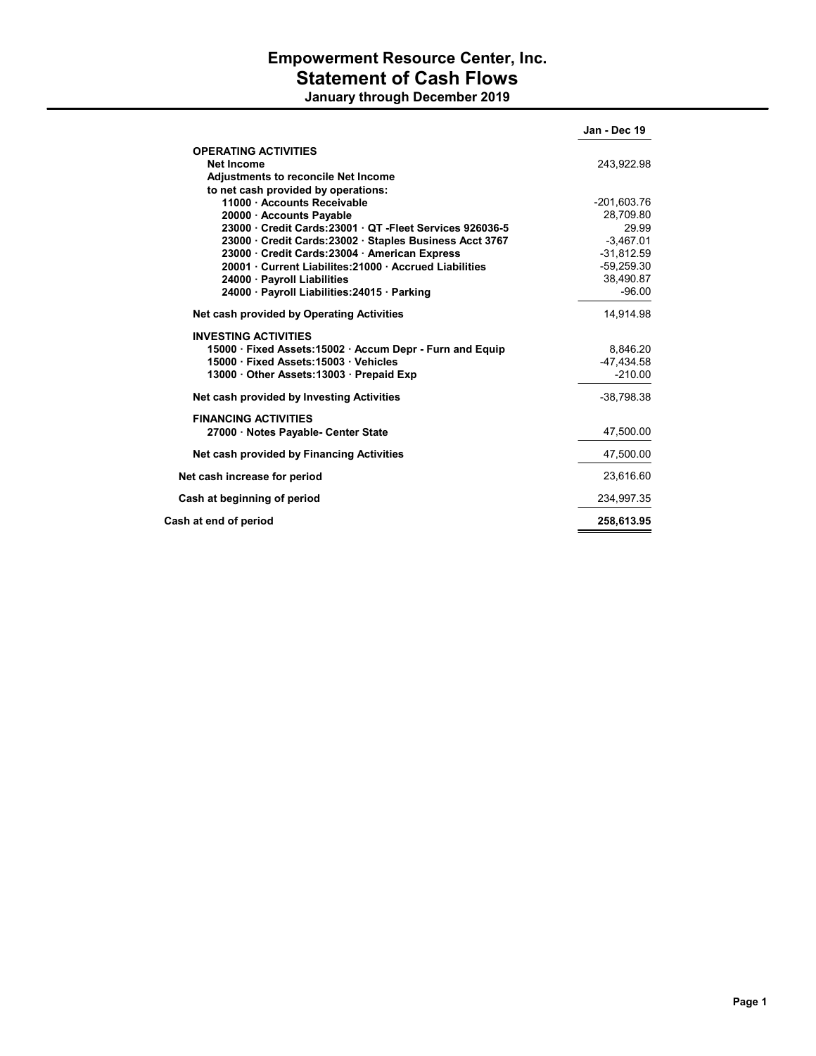## Empowerment Resource Center, Inc. Statement of Cash Flows January through December 2019

|                                                        | Jan - Dec 19  |
|--------------------------------------------------------|---------------|
| <b>OPERATING ACTIVITIES</b>                            |               |
| Net Income                                             | 243,922.98    |
| <b>Adjustments to reconcile Net Income</b>             |               |
| to net cash provided by operations:                    |               |
| 11000 · Accounts Receivable                            | $-201,603.76$ |
| 20000 · Accounts Payable                               | 28.709.80     |
| 23000 Credit Cards: 23001 QT - Fleet Services 926036-5 | 29.99         |
| 23000 Credit Cards: 23002 Staples Business Acct 3767   | $-3,467.01$   |
| 23000 Credit Cards: 23004 American Express             | $-31,812.59$  |
| 20001 Current Liabilites: 21000 Accrued Liabilities    | $-59,259.30$  |
| 24000 · Payroll Liabilities                            | 38,490.87     |
| 24000 · Payroll Liabilities: 24015 · Parking           | $-96.00$      |
| Net cash provided by Operating Activities              | 14.914.98     |
| <b>INVESTING ACTIVITIES</b>                            |               |
| 15000 Fixed Assets: 15002 Accum Depr - Furn and Equip  | 8,846.20      |
| 15000 Fixed Assets: 15003 Vehicles                     | -47.434.58    |
| 13000 Other Assets: 13003 Prepaid Exp                  | $-210.00$     |
| Net cash provided by Investing Activities              | $-38,798.38$  |
| <b>FINANCING ACTIVITIES</b>                            |               |
| 27000 · Notes Payable- Center State                    | 47,500.00     |
| Net cash provided by Financing Activities              | 47,500.00     |
| Net cash increase for period                           | 23,616.60     |
| Cash at beginning of period                            | 234,997.35    |
| Cash at end of period                                  | 258.613.95    |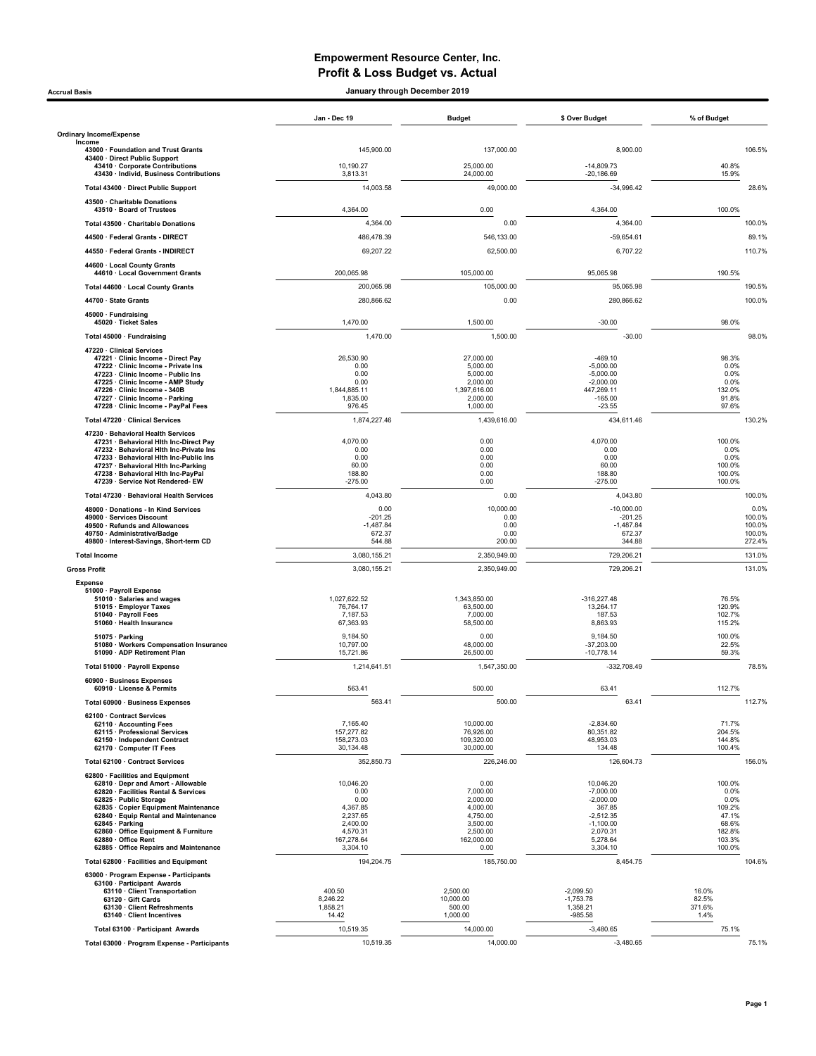### Empowerment Resource Center, Inc. Profit & Loss Budget vs. Actual

#### Accrual Basis January through December 2019

|                                                                                   | Jan - Dec 19             | <b>Budget</b>            | \$ Over Budget               | % of Budget      |
|-----------------------------------------------------------------------------------|--------------------------|--------------------------|------------------------------|------------------|
| <b>Ordinary Income/Expense</b><br>Income                                          |                          |                          |                              |                  |
| 43000 · Foundation and Trust Grants<br>43400 · Direct Public Support              | 145,900.00               | 137,000.00               | 8,900.00                     | 106.5%           |
| 43410 · Corporate Contributions<br>43430 · Individ, Business Contributions        | 10,190.27<br>3,813.31    | 25,000.00<br>24,000.00   | $-14,809.73$<br>$-20.186.69$ | 40.8%<br>15.9%   |
| Total 43400 · Direct Public Support                                               | 14,003.58                | 49,000.00                | $-34,996.42$                 | 28.6%            |
| 43500 · Charitable Donations                                                      |                          |                          |                              |                  |
| 43510 · Board of Trustees                                                         | 4,364.00                 | 0.00                     | 4,364.00                     | 100.0%           |
| Total 43500 · Charitable Donations<br>44500 · Federal Grants - DIRECT             | 4,364.00                 | 0.00                     | 4,364.00                     | 100.0%           |
| 44550 · Federal Grants - INDIRECT                                                 | 486,478.39<br>69,207.22  | 546,133.00<br>62,500.00  | $-59.654.61$<br>6,707.22     | 89.1%<br>110.7%  |
| 44600 · Local County Grants                                                       |                          |                          |                              |                  |
| 44610 · Local Government Grants                                                   | 200.065.98               | 105,000.00               | 95,065.98                    | 190.5%           |
| Total 44600 · Local County Grants                                                 | 200,065.98               | 105,000.00               | 95,065.98                    | 190.5%           |
| 44700 · State Grants                                                              | 280,866.62               | 0.00                     | 280,866.62                   | 100.0%           |
| 45000 · Fundraising<br>45020 · Ticket Sales                                       | 1,470.00                 | 1,500.00                 | $-30.00$                     | 98.0%            |
| Total 45000 · Fundraising                                                         | 1,470.00                 | 1,500.00                 | $-30.00$                     | 98.0%            |
| 47220 · Clinical Services<br>47221 · Clinic Income - Direct Pay                   | 26,530.90                | 27,000.00                | $-469.10$                    | 98.3%            |
| 47222 · Clinic Income - Private Ins<br>47223 · Clinic Income - Public Ins         | 0.00<br>0.00             | 5,000.00<br>5,000.00     | $-5,000.00$<br>$-5,000.00$   | 0.0%<br>0.0%     |
| 47225 · Clinic Income - AMP Study                                                 | 0.00                     | 2,000.00                 | $-2,000.00$                  | 0.0%             |
| 47226 · Clinic Income - 340B<br>47227 · Clinic Income - Parking                   | 1,844,885.11<br>1,835.00 | 1,397,616.00<br>2.000.00 | 447,269.11<br>$-165.00$      | 132.0%<br>91.8%  |
| 47228 · Clinic Income - PayPal Fees<br>Total 47220 · Clinical Services            | 976.45<br>1,874,227.46   | 1,000.00<br>1.439.616.00 | $-23.55$<br>434,611.46       | 97.6%<br>130.2%  |
| 47230 · Behavioral Health Services                                                |                          |                          |                              |                  |
| 47231 · Behavioral Hith Inc-Direct Pav<br>47232 · Behavioral Hith Inc-Private Ins | 4,070.00<br>0.00         | 0.00<br>0.00             | 4,070.00<br>0.00             | 100.0%<br>0.0%   |
| 47233 · Behavioral Hith Inc-Public Ins                                            | 0.00<br>60.00            | 0.00<br>0.00             | 0.00<br>60.00                | 0.0%<br>100.0%   |
| 47237 · Behavioral Hith Inc-Parking<br>47238 · Behavioral Hith Inc-PayPal         | 188.80                   | 0.00                     | 188.80                       | 100.0%           |
| 47239 · Service Not Rendered-EW<br>Total 47230 · Behavioral Health Services       | $-275.00$<br>4,043.80    | 0.00<br>0.00             | $-275.00$<br>4,043.80        | 100.0%<br>100.0% |
| 48000 · Donations - In Kind Services                                              | 0.00                     | 10,000.00                | $-10,000.00$                 | 0.0%             |
| 49000 · Services Discount<br>49500 · Refunds and Allowances                       | $-201.25$<br>$-1,487.84$ | 0.00<br>0.00             | $-201.25$<br>$-1,487.84$     | 100.0%<br>100.0% |
| 49750 · Administrative/Badge                                                      | 672.37                   | 0.00                     | 672.37                       | 100.0%           |
| 49800 · Interest-Savings, Short-term CD<br><b>Total Income</b>                    | 544.88<br>3,080,155.21   | 200.00<br>2,350,949.00   | 344.88<br>729,206.21         | 272.4%<br>131.0% |
| <b>Gross Profit</b>                                                               | 3,080,155.21             | 2,350,949.00             | 729,206.21                   | 131.0%           |
| <b>Expense</b>                                                                    |                          |                          |                              |                  |
| 51000 · Payroll Expense<br>51010 · Salaries and wages                             | 1,027,622.52             | 1,343,850.00             | $-316,227.48$                | 76.5%            |
| 51015 · Employer Taxes<br>51040 · Payroll Fees                                    | 76,764.17<br>7,187.53    | 63,500.00<br>7,000.00    | 13,264.17<br>187.53          | 120.9%<br>102.7% |
| 51060 · Health Insurance                                                          | 67,363.93                | 58,500.00                | 8,863.93                     | 115.2%           |
| 51075 · Parking<br>51080 · Workers Compensation Insurance                         | 9,184.50<br>10,797.00    | 0.00<br>48,000.00        | 9,184.50<br>$-37,203.00$     | 100.0%<br>22.5%  |
| 51090 · ADP Retirement Plan                                                       | 15,721.86                | 26,500.00                | $-10,778.14$                 | 59.3%            |
| Total 51000 · Payroll Expense<br>60900 · Business Expenses                        | 1,214,641.51             | 1,547,350.00             | $-332,708.49$                | 78.5%            |
| 60910 · License & Permits                                                         | 563.41                   | 500.00                   | 63.41                        | 112.7%           |
| Total 60900 · Business Expenses                                                   | 563.41                   | 500.00                   | 63.41                        | 112.7%           |
| 62100 Contract Services<br>62110 · Accounting Fees                                | 7.165.40                 | 10,000.00                | $-2,834.60$                  | 71.7%            |
| 62115 · Professional Services<br>62150 · Independent Contract                     | 157,277.82<br>158,273.03 | 76,926.00<br>109,320.00  | 80,351.82<br>48,953.03       | 204.5%<br>144.8% |
| 62170 · Computer IT Fees                                                          | 30,134.48                | 30,000.00                | 134.48                       | 100.4%           |
| Total 62100 · Contract Services                                                   | 352,850.73               | 226,246.00               | 126,604.73                   | 156.0%           |
| 62800 · Facilities and Equipment<br>62810 · Depr and Amort - Allowable            | 10.046.20                | 0.00                     | 10,046.20                    | 100.0%           |
| 62820 · Facilities Rental & Services<br>62825 · Public Storage                    | 0.00<br>0.00             | 7,000.00<br>2.000.00     | $-7,000.00$<br>$-2,000.00$   | 0.0%<br>0.0%     |
| 62835 · Copier Equipment Maintenance<br>62840 · Equip Rental and Maintenance      | 4,367.85<br>2,237.65     | 4,000.00<br>4,750.00     | 367.85<br>$-2,512.35$        | 109.2%<br>47.1%  |
| 62845 · Parking<br>62860 · Office Equipment & Furniture                           | 2,400.00<br>4,570.31     | 3,500.00<br>2,500.00     | $-1,100.00$<br>2,070.31      | 68.6%<br>182.8%  |
| 62880 · Office Rent<br>62885 · Office Repairs and Maintenance                     | 167,278.64<br>3,304.10   | 162,000.00<br>0.00       | 5.278.64<br>3,304.10         | 103.3%<br>100.0% |
| Total 62800 · Facilities and Equipment                                            | 194,204.75               | 185,750.00               | 8,454.75                     | 104.6%           |
| 63000 · Program Expense - Participants                                            |                          |                          |                              |                  |
| 63100 · Participant Awards<br>63110 · Client Transportation                       | 400.50                   | 2,500.00                 | $-2,099.50$                  | 16.0%            |
| 63120 Gift Cards<br>63130 · Client Refreshments                                   | 8,246.22<br>1,858.21     | 10,000.00<br>500.00      | $-1,753.78$<br>1,358.21      | 82.5%<br>371.6%  |
| 63140 · Client Incentives                                                         | 14.42                    | 1,000.00                 | $-985.58$                    | 1.4%             |
| Total 63100 · Participant Awards                                                  | 10,519.35                | 14,000.00                | $-3,480.65$                  | 75.1%            |
| Total 63000 · Program Expense - Participants                                      | 10,519.35                | 14,000.00                | $-3,480.65$                  | 75.1%            |